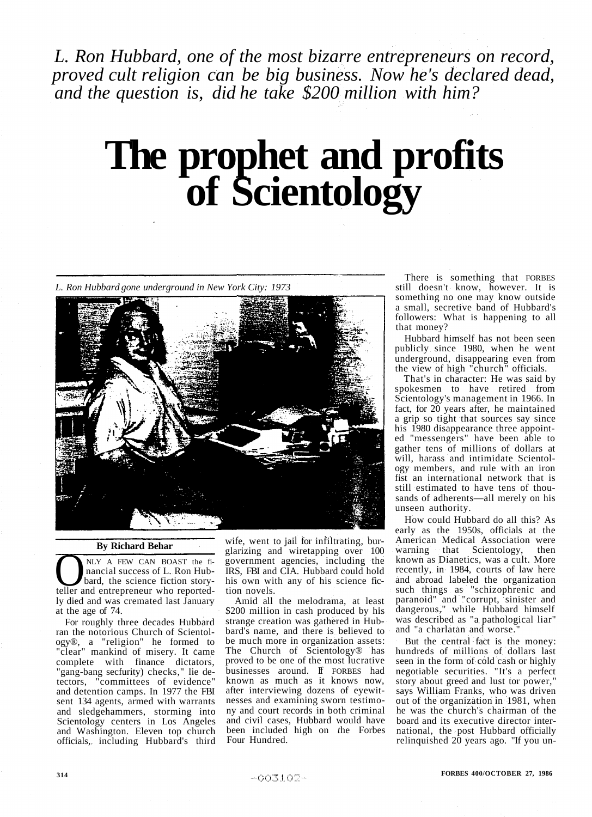*L. Ron Hubbard, one of the most bizarre entrepreneurs on record, proved cult religion can be big business. Now he's declared dead, and the question is, did he take \$200 million with him?* 

# **The prophet and profits of Scientology**

*L. Ron Hubbard gone underground in New York City: 1973* 



### **By Richard Behar**

NLY A FEW CAN BOAST the fi-<br>nancial success of L. Ron Hub-<br>bard, the science fiction story-<br>teller and entrepreneur who reported-NLY A FEW CAN BOAST the financial success of L. Ron Hubbard, the science fiction storyly died and was cremated last January at the age of 74.

For roughly three decades Hubbard ran the notorious Church of Scientology®, a "religion" he formed to "clear" mankind of misery. It came complete with finance dictators, "gang-bang secfurity) checks," lie detectors, "committees of evidence" and detention camps. In 1977 the FBI sent 134 agents, armed with warrants and sledgehammers, storming into Scientology centers in Los Angeles and Washington. Eleven top church officials, including Hubbard's third wife, went to jail for infiltrating, burglarizing and wiretapping over 100 government agencies, including the IRS, FBI and CIA. Hubbard could hold his own with any of his science fiction novels.

Amid all the melodrama, at least \$200 million in cash produced by his strange creation was gathered in Hubbard's name, and there is believed to be much more in organization assets: The Church of Scientology® has proved to be one of the most lucrative businesses around. If FORBES had known as much as it knows now, after interviewing dozens of eyewitnesses and examining sworn testimony and court records in both criminal and civil cases, Hubbard would have been included high on *t*he Forbes Four Hundred.

There is something that FORBES still doesn't know, however. It is something no one may know outside a small, secretive band of Hubbard's followers: What is happening to all that money?

Hubbard himself has not been seen publicly since 1980, when he went underground, disappearing even from the view of high "church" officials.

That's in character: He was said by spokesmen to have retired from Scientology's management in 1966. In fact, for 20 years after, he maintained a grip so tight that sources say since his 1980 disappearance three appointed "messengers" have been able to gather tens of millions of dollars at will, harass and intimidate Scientology members, and rule with an iron fist an international network that is still estimated to have tens of thousands of adherents—all merely on his unseen authority.

How could Hubbard do all this? As early as the 1950s, officials at the American Medical Association were warning that Scientology, then known as Dianetics, was a cult. More recently, in 1984, courts of law here and abroad labeled the organization such things as "schizophrenic and paranoid" and "corrupt, sinister and dangerous," while Hubbard himself was described as "a pathological liar" and "a charlatan and worse."

But the central fact is the money: hundreds of millions of dollars last seen in the form of cold cash or highly negotiable securities. "It's a perfect story about greed and lust tor power," says William Franks, who was driven out of the organization in 1981, when he was the church's chairman of the board and its executive director international, the post Hubbard officially relinquished 20 years ago. "If you un-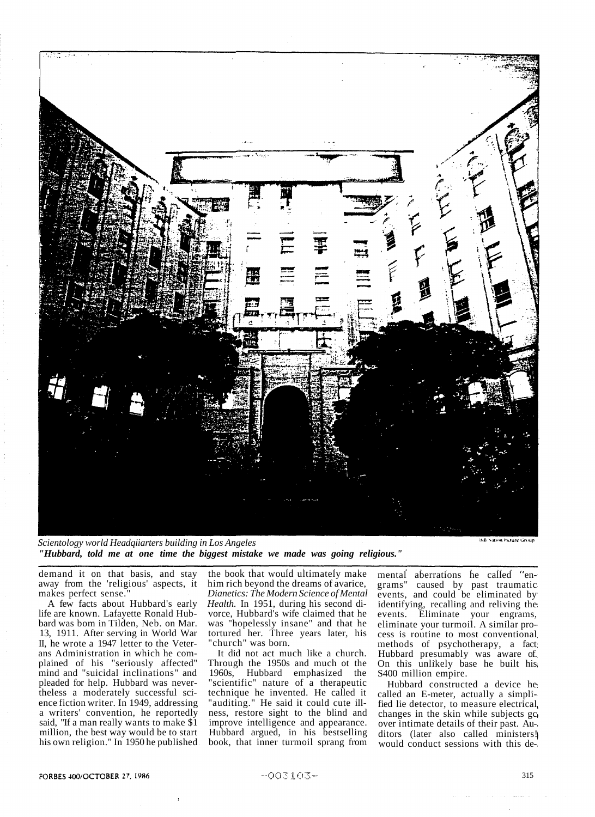

*Scientology world Headqiiarters building in Los Angeles "Hubbard, told me at one time the biggest mistake we made was going religious."* 

ildi Nation Picture Groun

demand it on that basis, and stay away from the 'religious' aspects, it makes perfect sense.

A few facts about Hubbard's early life are known. Lafayette Ronald Hubbard was bom in Tilden, Neb. on Mar. 13, 1911. After serving in World War II, he wrote a 1947 letter to the Veterans Administration in which he complained of his "seriously affected" mind and "suicidal inclinations" and pleaded for help. Hubbard was nevertheless a moderately successful science fiction writer. In 1949, addressing a writers' convention, he reportedly said, "If a man really wants to make \$1 million, the best way would be to start his own religion." In 1950 he published

the book that would ultimately make him rich beyond the dreams of avarice, *Dianetics: The Modern Science of Mental Health.* In 1951, during his second divorce, Hubbard's wife claimed that he was "hopelessly insane" and that he tortured her. Three years later, his "church" was born.

It did not act much like a church. Through the 1950s and much ot the 1960s, Hubbard emphasized the "scientific" nature of a therapeutic technique he invented. He called it "auditing." He said it could cute illness, restore sight to the blind and improve intelligence and appearance. Hubbard argued, in his bestselling book, that inner turmoil sprang from mental aberrations he called "engrams" caused by past traumatic caused by past traumatic events, and could be eliminated by identifying, recalling and reliving the events. Eliminate your engrams, eliminate your turmoil. A similar process is routine to most conventional methods of psychotherapy, a fact Hubbard presumably was aware of. On this unlikely base he built his S400 million empire.

Hubbard constructed a device he called an E-meter, actually a simplified lie detector, to measure electrical changes in the skin while subjects go over intimate details of their past. Auditors (later also called ministers) would conduct sessions with this de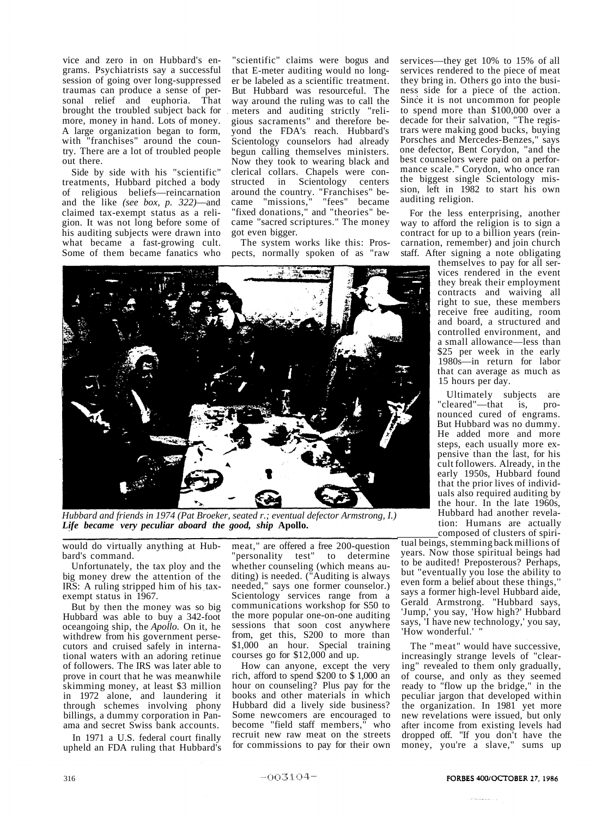vice and zero in on Hubbard's engrams. Psychiatrists say a successful session of going over long-suppressed traumas can produce a sense of personal relief and euphoria. That brought the troubled subject back for more, money in hand. Lots of money. A large organization began to form, with "franchises" around the country. There are a lot of troubled people out there.

Side by side with his "scientific" treatments, Hubbard pitched a body of religious beliefs—reincarnation and the like *(see box, p. 322)*—and claimed tax-exempt status as a religion. It was not long before some of his auditing subjects were drawn into what became a fast-growing cult. Some of them became fanatics who

"scientific" claims were bogus and that E-meter auditing would no longer be labeled as a scientific treatment. But Hubbard was resourceful. The way around the ruling was to call the meters and auditing strictly "religious sacraments" and therefore beyond the FDA's reach. Hubbard's Scientology counselors had already begun calling themselves ministers. Now they took to wearing black and clerical collars. Chapels were constructed in Scientology centers around the country. "Franchises" be-<br>came "missions," "fees" became came "missions," "fees" became "fixed donations," and "theories" became "sacred scriptures." The money got even bigger.

The system works like this: Prospects, normally spoken of as "raw

services—they get 10% to 15% of all services rendered to the piece of meat they bring in. Others go into the business side for a piece of the action. Since it is not uncommon for people to spend more than \$100,000 over a decade for their salvation, "The registrars were making good bucks, buying Porsches and Mercedes-Benzes," says one defector, Bent Corydon, "and the best counselors were paid on a performance scale." Corydon, who once ran the biggest single Scientology mission, left in 1982 to start his own auditing religion.

For the less enterprising, another way to afford the religion is to sign a contract for up to a billion years (reincarnation, remember) and join church staff. After signing a note obligating

themselves to pay for all services rendered in the event they break their employment contracts and waiving all right to sue, these members receive free auditing, room and board, a structured and controlled environment, and a small allowance—less than \$25 per week in the early 1980s—in return for labor that can average as much as 15 hours per day.

Ultimately subjects are "cleared"—that is, pronounced cured of engrams. But Hubbard was no dummy. He added more and more steps, each usually more expensive than the last, for his cult followers. Already, in the early 1950s, Hubbard found that the prior lives of individuals also required auditing by the hour. In the late 1960s, Hubbard had another revelation: Humans are actually composed of clusters of spiri-

tual beings, stemming back millions of years. Now those spiritual beings had to be audited! Preposterous? Perhaps, but "eventually you lose the ability to even form a belief about these things,'' says a former high-level Hubbard aide, Gerald Armstrong. "Hubbard says, 'Jump,' you say, 'How high?' Hubbard says, 'I have new technology,' you say, 'How wonderful.'

The "meat" would have successive, increasingly strange levels of "clearing" revealed to them only gradually, of course, and only as they seemed ready to "flow up the bridge," in the peculiar jargon that developed within the organization. In 1981 yet more new revelations were issued, but only after income from existing levels had dropped off. "If you don't have the money, you're a slave," sums up



But by then the money was so big Hubbard was able to buy a 342-foot oceangoing ship, the *Apollo.* On it, he withdrew from his government persecutors and cruised safely in international waters with an adoring retinue of followers. The IRS was later able to prove in court that he was meanwhile skimming money, at least \$3 million in 1972 alone, and laundering it through schemes involving phony billings, a dummy corporation in Pan-

ama and secret Swiss bank accounts. In 1971 a U.S. federal court finally upheld an FDA ruling that Hubbard's the more popular one-on-one auditing sessions that soon cost anywhere from, get this, S200 to more than \$1,000 an hour. Special training courses go for \$12,000 and up.

How can anyone, except the very rich, afford to spend \$200 to \$ 1,000 an hour on counseling? Plus pay for the books and other materials in which Hubbard did a lively side business? Some newcomers are encouraged to become "field staff members," who recruit new raw meat on the streets for commissions to pay for their own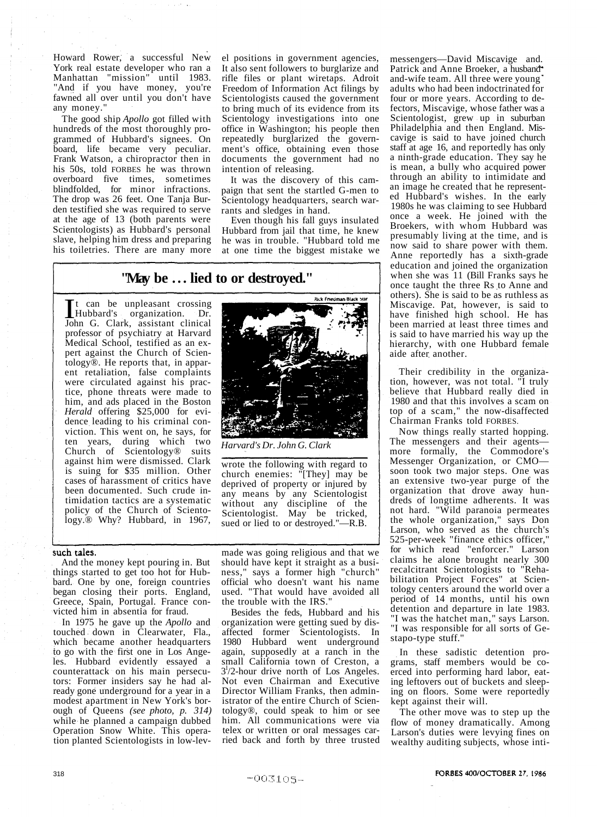Howard Rower, a successful New York real estate developer who ran a Manhattan "mission" until 1983. "And if you have money, you're fawned all over until you don't have any money."

The good ship *Apollo* got filled with hundreds of the most thoroughly programmed of Hubbard's signees. On board, life became very peculiar. Frank Watson, a chiropractor then in his 50s, told FORBES he was thrown overboard five times, sometimes blindfolded, for minor infractions. The drop was 26 feet. One Tanja Burden testified she was required to serve at the age of 13 (both parents were Scientologists) as Hubbard's personal slave, helping him dress and preparing his toiletries. There are many more

el positions in government agencies, It also sent followers to burglarize and rifle files or plant wiretaps. Adroit Freedom of Information Act filings by Scientologists caused the government to bring much of its evidence from its Scientology investigations into one office in Washington; his people then repeatedly burglarized the government's office, obtaining even those documents the government had no intention of releasing.

It was the discovery of this campaign that sent the startled G-men to Scientology headquarters, search warrants and sledges in hand.

Even though his fall guys insulated Hubbard from jail that time, he knew he was in trouble. "Hubbard told me at one time the biggest mistake we

**Rick Friedman-Black Sta** 

## **"May be .. . lied to or destroyed."**

The can be unpleasant crossing<br>
Hubbard's organization. Dr.<br>
John G. Clark, assistant clinical t can be unpleasant crossing John G. Clark, assistant clinical professor of psychiatry at Harvard Medical School, testified as an expert against the Church of Scientology®. He reports that, in apparent retaliation, false complaints were circulated against his practice, phone threats were made to him, and ads placed in the Boston *Herald* offering \$25,000 for evidence leading to his criminal conviction. This went on, he says, for ten years, during which two Church of Scientology® suits against him were dismissed. Clark is suing for \$35 million. Other cases of harassment of critics have been documented. Such crude intimidation tactics are a systematic policy of the Church of Scientology.® Why? Hubbard, in 1967,

### such tales.

And the money kept pouring in. But things started to get too hot for Hubbard. One by one, foreign countries began closing their ports. England, Greece, Spain, Portugal. France convicted him in absentia for fraud.

In 1975 he gave up the *Apollo* and touched down in Clearwater, Fla., which became another headquarters to go with the first one in Los Angeles. Hubbard evidently essayed a counterattack on his main persecutors: Former insiders say he had already gone underground for a year in a modest apartment in New York's borough of Queens *(see photo, p. 314)*  while he planned a campaign dubbed Operation Snow White. This operation planted Scientologists in low-lev-

*Harvard's Dr. John G. Clark* 

wrote the following with regard to church enemies: "[They] may be deprived of property or injured by any means by any Scientologist without any discipline of the Scientologist. May be tricked, sued or lied to or destroyed."—R.B.

made was going religious and that we should have kept it straight as a business," says a former high "church" official who doesn't want his name used. "That would have avoided all the trouble with the IRS."

Besides the feds, Hubbard and his organization were getting sued by disaffected former Scientologists. In 1980 Hubbard went underground again, supposedly at a ranch in the small California town of Creston, a 3 l /2-hour drive north of Los Angeles. Not even Chairman and Executive Director William Franks, then administrator of the entire Church of Scientology®, could speak to him or see him. All communications were via telex or written or oral messages carried back and forth by three trusted

messengers—David Miscavige and. Patrick and Anne Broeker, a husband and-wife team. All three were young adults who had been indoctrinated for four or more years. According to defectors, Miscavige, whose father was a Scientologist, grew up in suburban Philadelphia and then England. Miscavige is said to have joined church staff at age 16, and reportedly has only a ninth-grade education. They say he is mean, a bully who acquired power through an ability to intimidate and an image he created that he represented Hubbard's wishes. In the early 1980s he was claiming to see Hubbard once a week. He joined with the Broekers, with whom Hubbard was presumably living at the time, and is now said to share power with them. Anne reportedly has a sixth-grade education and joined the organization when she was 11 (Bill Franks says he once taught the three Rs to Anne and others). She is said to be as ruthless as Miscavige. Pat, however, is said to have finished high school. He has been married at least three times and is said to have married his way up the hierarchy, with one Hubbard female aide after another.

Their credibility in the organization, however, was not total. "I truly believe that Hubbard really died in 1980 and that this involves a scam on top of a scam," the now-disaffected Chairman Franks told FORBES.

Now things really started hopping. The messengers and their agents more formally, the Commodore's Messenger Organization, or CMO soon took two major steps. One was an extensive two-year purge of the organization that drove away hundreds of longtime adherents. It was not hard. "Wild paranoia permeates the whole organization," says Don Larson, who served as the church's 525-per-week "finance ethics officer," for which read "enforcer." Larson claims he alone brought nearly 300 recalcitrant Scientologists to "Rehabilitation Project Forces" at Scientology centers around the world over a period of 14 months, until his own detention and departure in late 1983. "I was the hatchet man," says Larson. "I was responsible for all sorts of Gestapo-type stuff."

In these sadistic detention programs, staff members would be coerced into performing hard labor, eating leftovers out of buckets and sleeping on floors. Some were reportedly kept against their will.

The other move was to step up the flow of money dramatically. Among Larson's duties were levying fines on wealthy auditing subjects, whose inti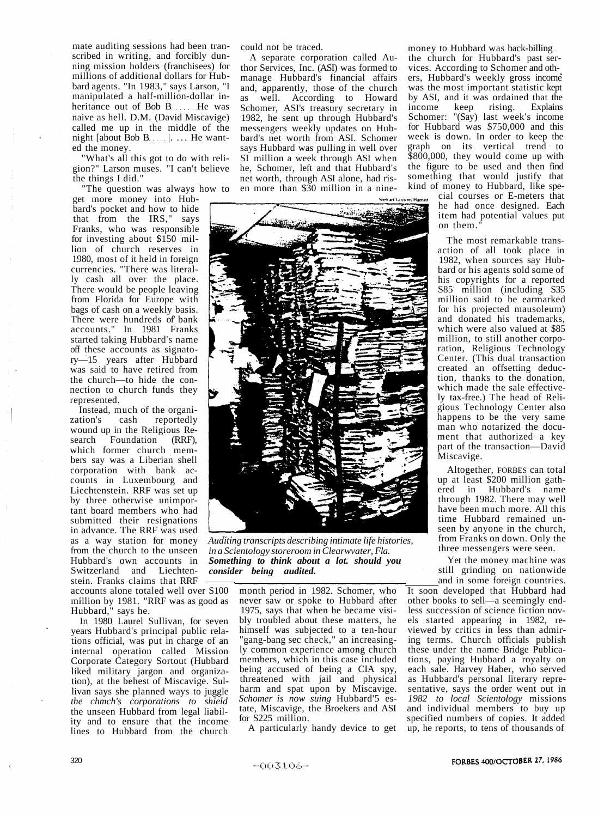mate auditing sessions had been transcribed in writing, and forcibly dunning mission holders (franchisees) for millions of additional dollars for Hubbard agents. "In 1983," says Larson, "I manipulated a half-million-dollar inheritance out of Bob B He was naive as hell. D.M. (David Miscavige) called me up in the middle of the night  $[about\, Bob\, B. \ldots]$ ... He wanted the money.

What's all this got to do with religion?" Larson muses. "I can't believe the things I did."

"The question was always how to

get more money into Hubbard's pocket and how to hide that from the IRS," says Franks, who was responsible for investing about \$150 million of church reserves in 1980, most of it held in foreign currencies. "There was literally cash all over the place. There would be people leaving from Florida for Europe with bags of cash on a weekly basis. There were hundreds of bank accounts." In 1981 Franks started taking Hubbard's name off these accounts as signatory—15 years after Hubbard was said to have retired from the church—to hide the connection to church funds they represented.

Instead, much of the organization's cash reportedly reportedly wound up in the Religious Research Foundation (RRF), which former church members say was a Liberian shell corporation with bank accounts in Luxembourg and Liechtenstein. RRF was set up by three otherwise unimportant board members who had submitted their resignations in advance. The RRF was used as a way station for money from the church to the unseen Hubbard's own accounts in Switzerland and Liechtenstein. Franks claims that RRF

accounts alone totaled well over S100 million by 1981. "RRF was as good as Hubbard," says he.

In 1980 Laurel Sullivan, for seven years Hubbard's principal public relations official, was put in charge of an internal operation called Mission Corporate Category Sortout (Hubbard liked military jargon and organization), at the behest of Miscavige. Sullivan says she planned ways to juggle *the chmch's corporations to shield*  the unseen Hubbard from legal liability and to ensure that the income lines to Hubbard from the church could not be traced.

A separate corporation called Author Services, Inc. (ASI) was formed to manage Hubbard's financial affairs and, apparently, those of the church as well. According to Howard Schomer, ASI's treasury secretary in 1982, he sent up through Hubbard's messengers weekly updates on Hubbard's net worth from ASI. Schomer says Hubbard was pulling in well over SI million a week through ASI when he, Schomer, left and that Hubbard's net worth, through ASI alone, had risen more than \$30 million in a nine-



*Auditing transcripts describing intimate life histories, in a Scientology storeroom in Clearwvater, Fla. Something to think about a lot. should you consider being audited.* 

month period in 1982. Schomer, who never saw or spoke to Hubbard after 1975, says that when he became visibly troubled about these matters, he himself was subjected to a ten-hour "gang-bang sec check," an increasingly common experience among church members, which in this case included being accused of being a CIA spy, threatened with jail and physical harm and spat upon by Miscavige. *Schomer is now suing* Hubbard'5 estate, Miscavige, the Broekers and ASI for S225 million.

A particularly handy device to get

money to Hubbard was back-billing the church for Hubbard's past services. According to Schomer and others, Hubbard's weekly gross income was the most important statistic kept by ASI, and it was ordained that the income keep rising. Explains Schomer: "(Say) last week's income for Hubbard was \$750,000 and this week is down. In order to keep the graph on its vertical trend to \$800,000, they would come up with the figure to be used and then find something that would justify that kind of money to Hubbard, like spe-

cial courses or E-meters that he had once designed. Each item had potential values put on them."

The most remarkable transaction of all took place in 1982, when sources say Hubbard or his agents sold some of his copyrights for a reported S85 million (including S35 million said to be earmarked for his projected mausoleum) and donated his trademarks, which were also valued at \$85 million, to still another corporation, Religious Technology Center. (This dual transaction created an offsetting deduction, thanks to the donation, which made the sale effectively tax-free.) The head of Religious Technology Center also happens to be the very same man who notarized the document that authorized a key part of the transaction—David Miscavige.

Altogether, FORBES can total up at least \$200 million gathered in Hubbard's name through 1982. There may well have been much more. All this time Hubbard remained unseen by anyone in the church, from Franks on down. Only the three messengers were seen.

Yet the money machine was still grinding on nationwide and in some foreign countries.

It soon developed that Hubbard had other books to sell—a seemingly endless succession of science fiction novels started appearing in 1982, reviewed by critics in less than admiring terms. Church officials publish these under the name Bridge Publications, paying Hubbard a royalty on each sale. Harvey Haber, who served as Hubbard's personal literary representative, says the order went out in *1982 to local Scientology* missions and individual members to buy up specified numbers of copies. It added up, he reports, to tens of thousands of